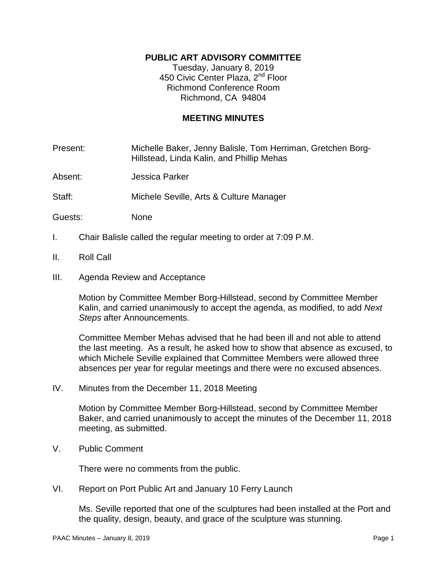# **PUBLIC ART ADVISORY COMMITTEE**

Tuesday, January 8, 2019 450 Civic Center Plaza, 2<sup>nd</sup> Floor Richmond Conference Room Richmond, CA 94804

## **MEETING MINUTES**

Present: Michelle Baker, Jenny Balisle, Tom Herriman, Gretchen Borg-Hillstead, Linda Kalin, and Phillip Mehas

Absent: Jessica Parker

Staff: Michele Seville, Arts & Culture Manager

Guests: None

- I. Chair Balisle called the regular meeting to order at 7:09 P.M.
- II. Roll Call
- III. Agenda Review and Acceptance

Motion by Committee Member Borg-Hillstead, second by Committee Member Kalin, and carried unanimously to accept the agenda, as modified, to add *Next Steps* after Announcements.

Committee Member Mehas advised that he had been ill and not able to attend the last meeting. As a result, he asked how to show that absence as excused, to which Michele Seville explained that Committee Members were allowed three absences per year for regular meetings and there were no excused absences.

IV. Minutes from the December 11, 2018 Meeting

Motion by Committee Member Borg-Hillstead, second by Committee Member Baker, and carried unanimously to accept the minutes of the December 11, 2018 meeting, as submitted.

V. Public Comment

There were no comments from the public.

VI. Report on Port Public Art and January 10 Ferry Launch

Ms. Seville reported that one of the sculptures had been installed at the Port and the quality, design, beauty, and grace of the sculpture was stunning.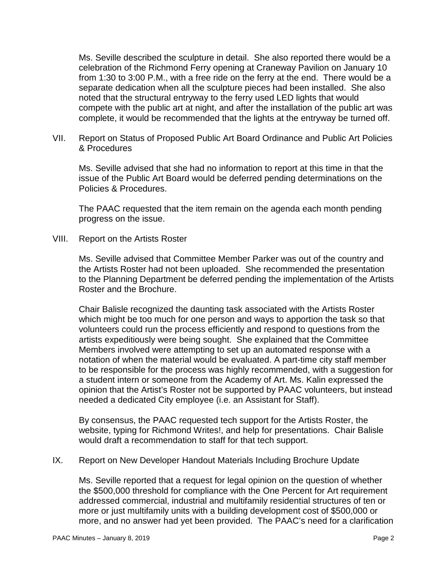Ms. Seville described the sculpture in detail. She also reported there would be a celebration of the Richmond Ferry opening at Craneway Pavilion on January 10 from 1:30 to 3:00 P.M., with a free ride on the ferry at the end. There would be a separate dedication when all the sculpture pieces had been installed. She also noted that the structural entryway to the ferry used LED lights that would compete with the public art at night, and after the installation of the public art was complete, it would be recommended that the lights at the entryway be turned off.

VII. Report on Status of Proposed Public Art Board Ordinance and Public Art Policies & Procedures

Ms. Seville advised that she had no information to report at this time in that the issue of the Public Art Board would be deferred pending determinations on the Policies & Procedures.

The PAAC requested that the item remain on the agenda each month pending progress on the issue.

VIII. Report on the Artists Roster

Ms. Seville advised that Committee Member Parker was out of the country and the Artists Roster had not been uploaded. She recommended the presentation to the Planning Department be deferred pending the implementation of the Artists Roster and the Brochure.

Chair Balisle recognized the daunting task associated with the Artists Roster which might be too much for one person and ways to apportion the task so that volunteers could run the process efficiently and respond to questions from the artists expeditiously were being sought. She explained that the Committee Members involved were attempting to set up an automated response with a notation of when the material would be evaluated. A part-time city staff member to be responsible for the process was highly recommended, with a suggestion for a student intern or someone from the Academy of Art. Ms. Kalin expressed the opinion that the Artist's Roster not be supported by PAAC volunteers, but instead needed a dedicated City employee (i.e. an Assistant for Staff).

By consensus, the PAAC requested tech support for the Artists Roster, the website, typing for Richmond Writes!, and help for presentations. Chair Balisle would draft a recommendation to staff for that tech support.

IX. Report on New Developer Handout Materials Including Brochure Update

Ms. Seville reported that a request for legal opinion on the question of whether the \$500,000 threshold for compliance with the One Percent for Art requirement addressed commercial, industrial and multifamily residential structures of ten or more or just multifamily units with a building development cost of \$500,000 or more, and no answer had yet been provided. The PAAC's need for a clarification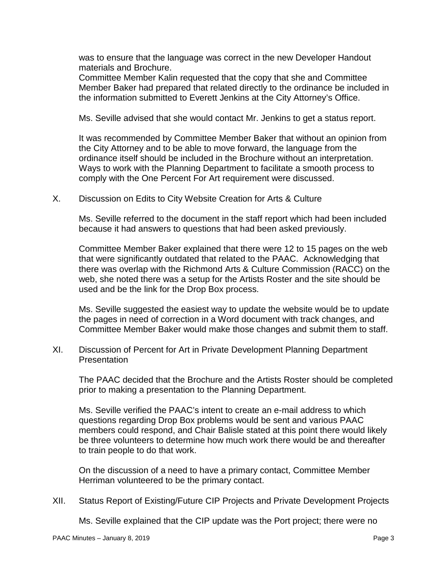was to ensure that the language was correct in the new Developer Handout materials and Brochure.

Committee Member Kalin requested that the copy that she and Committee Member Baker had prepared that related directly to the ordinance be included in the information submitted to Everett Jenkins at the City Attorney's Office.

Ms. Seville advised that she would contact Mr. Jenkins to get a status report.

It was recommended by Committee Member Baker that without an opinion from the City Attorney and to be able to move forward, the language from the ordinance itself should be included in the Brochure without an interpretation. Ways to work with the Planning Department to facilitate a smooth process to comply with the One Percent For Art requirement were discussed.

X. Discussion on Edits to City Website Creation for Arts & Culture

Ms. Seville referred to the document in the staff report which had been included because it had answers to questions that had been asked previously.

Committee Member Baker explained that there were 12 to 15 pages on the web that were significantly outdated that related to the PAAC. Acknowledging that there was overlap with the Richmond Arts & Culture Commission (RACC) on the web, she noted there was a setup for the Artists Roster and the site should be used and be the link for the Drop Box process.

Ms. Seville suggested the easiest way to update the website would be to update the pages in need of correction in a Word document with track changes, and Committee Member Baker would make those changes and submit them to staff.

XI. Discussion of Percent for Art in Private Development Planning Department **Presentation** 

The PAAC decided that the Brochure and the Artists Roster should be completed prior to making a presentation to the Planning Department.

Ms. Seville verified the PAAC's intent to create an e-mail address to which questions regarding Drop Box problems would be sent and various PAAC members could respond, and Chair Balisle stated at this point there would likely be three volunteers to determine how much work there would be and thereafter to train people to do that work.

On the discussion of a need to have a primary contact, Committee Member Herriman volunteered to be the primary contact.

XII. Status Report of Existing/Future CIP Projects and Private Development Projects

Ms. Seville explained that the CIP update was the Port project; there were no